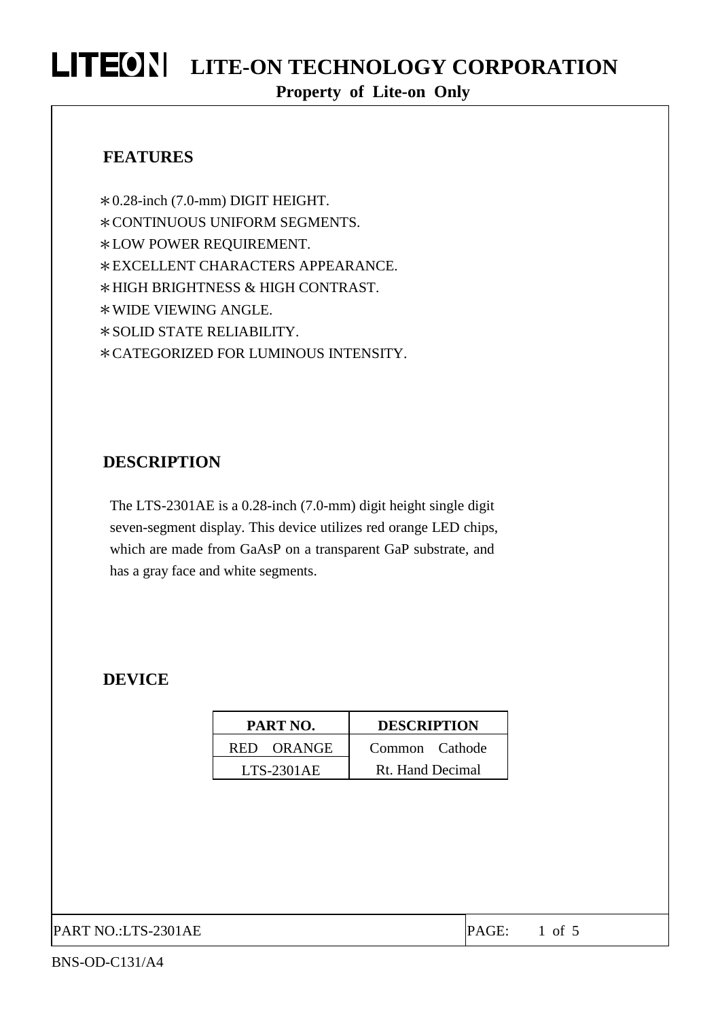#### **FEATURES**

\*0.28-inch (7.0-mm) DIGIT HEIGHT. \*CONTINUOUS UNIFORM SEGMENTS. \*LOW POWER REQUIREMENT. \*EXCELLENT CHARACTERS APPEARANCE. \*HIGH BRIGHTNESS & HIGH CONTRAST. \*WIDE VIEWING ANGLE. \*SOLID STATE RELIABILITY. \*CATEGORIZED FOR LUMINOUS INTENSITY.

#### **DESCRIPTION**

The LTS-2301AE is a 0.28-inch (7.0-mm) digit height single digit seven-segment display. This device utilizes red orange LED chips, which are made from GaAsP on a transparent GaP substrate, and has a gray face and white segments.

#### **DEVICE**

| PART NO.     | <b>DESCRIPTION</b> |  |  |  |  |
|--------------|--------------------|--|--|--|--|
| RED ORANGE   | Common Cathode     |  |  |  |  |
| $LTS-2301AE$ | Rt. Hand Decimal   |  |  |  |  |

PART NO.:LTS-2301AE PART NO.:LTS-2301AE PAGE: 1 of 5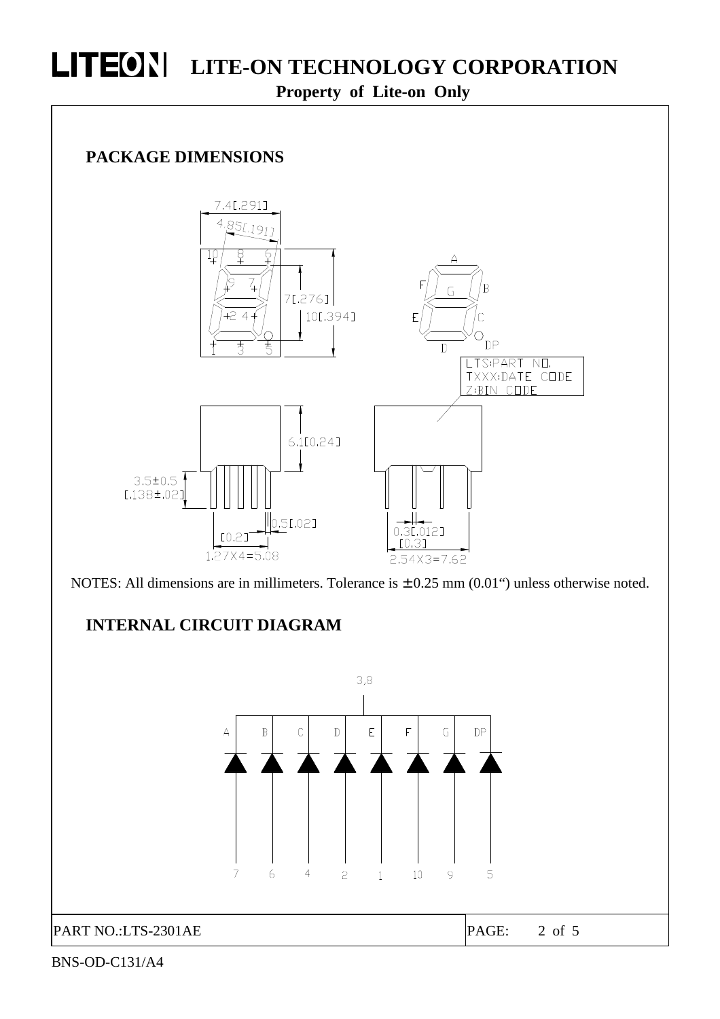

 $\overline{7}$ 

 $\overline{4}$ 

 $\overline{c}$ 

 $\mathbf{1}$ 

10

9

6

PART NO.:LTS-2301AE PAGE: 2 of 5

5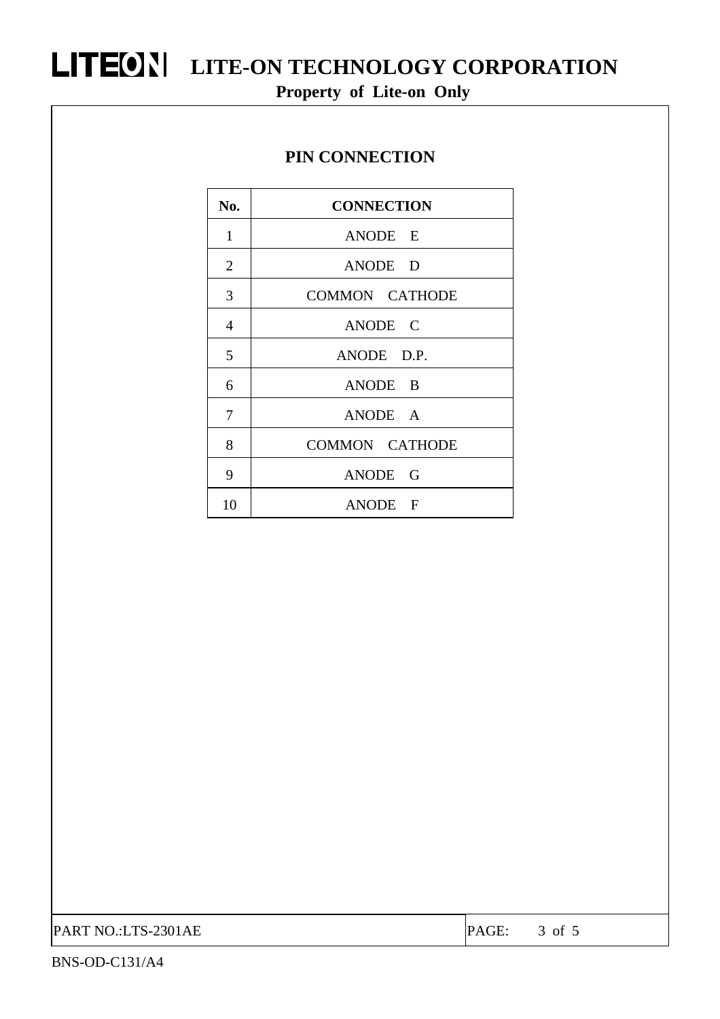#### **PIN CONNECTION**

| No.            | <b>CONNECTION</b>     |
|----------------|-----------------------|
| $\mathbf{1}$   | ANODE E               |
| $\overline{2}$ | ANODE D               |
| 3              | COMMON CATHODE        |
| $\overline{4}$ | ANODE C               |
| 5              | ANODE D.P.            |
| 6              | ANODE B               |
| 7              | ANODE A               |
| 8              | <b>COMMON CATHODE</b> |
| 9              | ANODE G               |
| 10             | ANODE F               |

PART NO.:LTS-2301AE PAGE: 3 of 5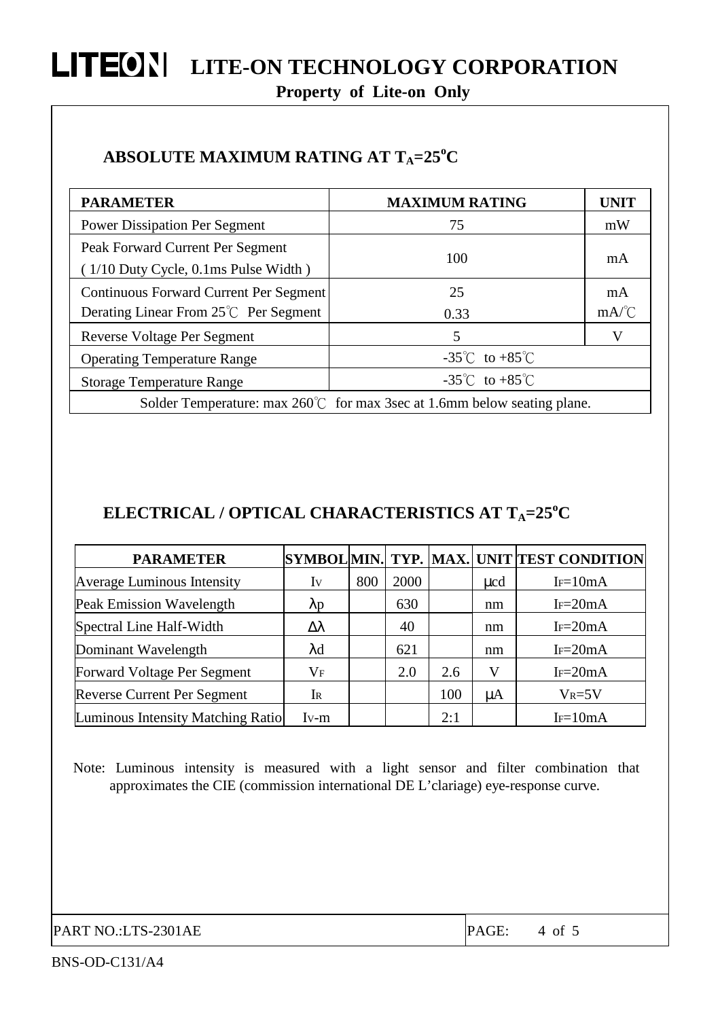### **ABSOLUTE MAXIMUM RATING AT TA=25<sup>o</sup>C**

| <b>PARAMETER</b>                                                                 | <b>MAXIMUM RATING</b>              | <b>UNIT</b>                            |  |  |  |
|----------------------------------------------------------------------------------|------------------------------------|----------------------------------------|--|--|--|
| <b>Power Dissipation Per Segment</b>                                             | 75                                 | mW                                     |  |  |  |
| Peak Forward Current Per Segment<br>$(1/10$ Duty Cycle, $0.1$ ms Pulse Width)    | 100                                | mA                                     |  |  |  |
| Continuous Forward Current Per Segment                                           | 25                                 | mA                                     |  |  |  |
| Derating Linear From 25℃ Per Segment                                             | 0.33                               | $mA$ <sup><math>\degree</math></sup> C |  |  |  |
| Reverse Voltage Per Segment                                                      | 5                                  | V                                      |  |  |  |
| <b>Operating Temperature Range</b>                                               | $-35^{\circ}$ C to $+85^{\circ}$ C |                                        |  |  |  |
| <b>Storage Temperature Range</b>                                                 | $-35^{\circ}$ C to $+85^{\circ}$ C |                                        |  |  |  |
| Solder Temperature: max $260^{\circ}$ for max 3sec at 1.6mm below seating plane. |                                    |                                        |  |  |  |

### **ELECTRICAL / OPTICAL CHARACTERISTICS AT TA=25<sup>o</sup>C**

| <b>PARAMETER</b>                   |                   |     |      |     |          | SYMBOL MIN. TYP. MAX. UNIT TEST CONDITION |
|------------------------------------|-------------------|-----|------|-----|----------|-------------------------------------------|
| Average Luminous Intensity         | Iv                | 800 | 2000 |     | $\mu$ cd | $I = 10mA$                                |
| Peak Emission Wavelength           | $\lambda p$       |     | 630  |     | nm       | $Ir=20mA$                                 |
| Spectral Line Half-Width           | Δλ                |     | 40   |     | nm       | $Ir=20mA$                                 |
| Dominant Wavelength                | $\lambda {\rm d}$ |     | 621  |     | nm       | $I_F=20mA$                                |
| Forward Voltage Per Segment        | $\rm V_F$         |     | 2.0  | 2.6 | V        | $Ir=20mA$                                 |
| <b>Reverse Current Per Segment</b> | I <sub>R</sub>    |     |      | 100 | μA       | $V_R = 5V$                                |
| Luminous Intensity Matching Ratio  | $Iv-m$            |     |      | 2:1 |          | $I = 10mA$                                |

Note: Luminous intensity is measured with a light sensor and filter combination that approximates the CIE (commission international DE L'clariage) eye-response curve.

PART NO.:LTS-2301AE PART PAGE: 4 of 5